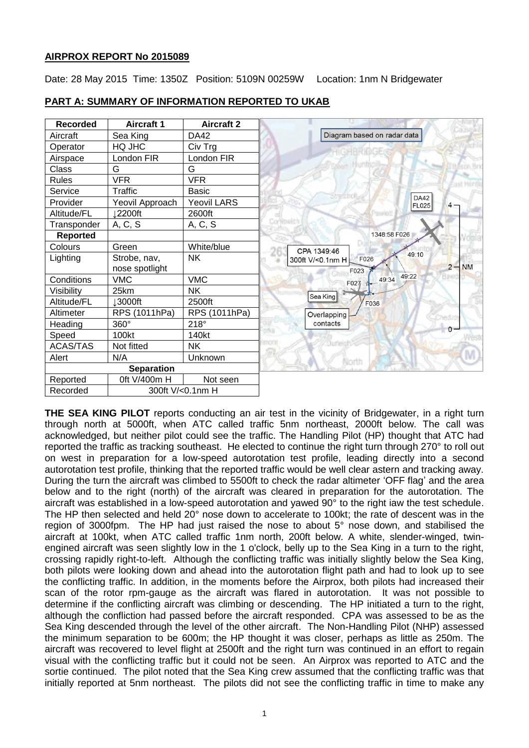# **AIRPROX REPORT No 2015089**

Date: 28 May 2015 Time: 1350Z Position: 5109N 00259W Location: 1nm N Bridgewater



### **PART A: SUMMARY OF INFORMATION REPORTED TO UKAB**

**THE SEA KING PILOT** reports conducting an air test in the vicinity of Bridgewater, in a right turn through north at 5000ft, when ATC called traffic 5nm northeast, 2000ft below. The call was acknowledged, but neither pilot could see the traffic. The Handling Pilot (HP) thought that ATC had reported the traffic as tracking southeast. He elected to continue the right turn through 270° to roll out on west in preparation for a low-speed autorotation test profile, leading directly into a second autorotation test profile, thinking that the reported traffic would be well clear astern and tracking away. During the turn the aircraft was climbed to 5500ft to check the radar altimeter 'OFF flag' and the area below and to the right (north) of the aircraft was cleared in preparation for the autorotation. The aircraft was established in a low-speed autorotation and yawed 90° to the right iaw the test schedule. The HP then selected and held 20° nose down to accelerate to 100kt; the rate of descent was in the region of 3000fpm. The HP had just raised the nose to about 5° nose down, and stabilised the aircraft at 100kt, when ATC called traffic 1nm north, 200ft below. A white, slender-winged, twinengined aircraft was seen slightly low in the 1 o'clock, belly up to the Sea King in a turn to the right, crossing rapidly right-to-left. Although the conflicting traffic was initially slightly below the Sea King, both pilots were looking down and ahead into the autorotation flight path and had to look up to see the conflicting traffic. In addition, in the moments before the Airprox, both pilots had increased their scan of the rotor rpm-gauge as the aircraft was flared in autorotation. It was not possible to determine if the conflicting aircraft was climbing or descending. The HP initiated a turn to the right, although the confliction had passed before the aircraft responded. CPA was assessed to be as the Sea King descended through the level of the other aircraft. The Non-Handling Pilot (NHP) assessed the minimum separation to be 600m; the HP thought it was closer, perhaps as little as 250m. The aircraft was recovered to level flight at 2500ft and the right turn was continued in an effort to regain visual with the conflicting traffic but it could not be seen. An Airprox was reported to ATC and the sortie continued. The pilot noted that the Sea King crew assumed that the conflicting traffic was that initially reported at 5nm northeast. The pilots did not see the conflicting traffic in time to make any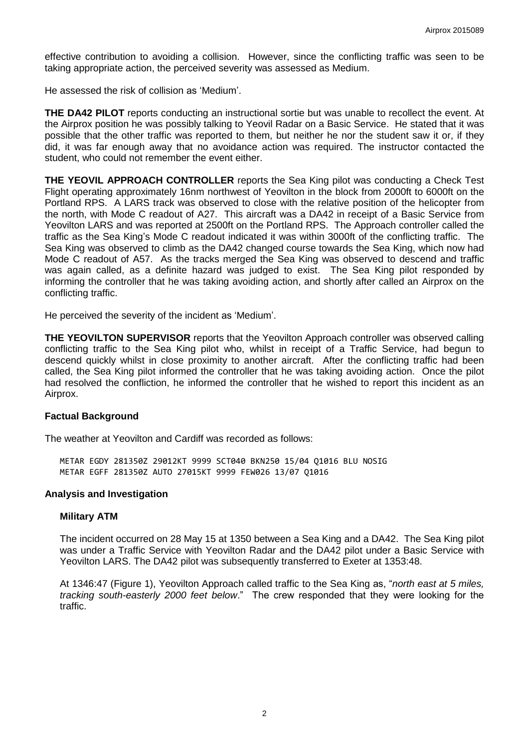effective contribution to avoiding a collision. However, since the conflicting traffic was seen to be taking appropriate action, the perceived severity was assessed as Medium.

He assessed the risk of collision as 'Medium'.

**THE DA42 PILOT** reports conducting an instructional sortie but was unable to recollect the event. At the Airprox position he was possibly talking to Yeovil Radar on a Basic Service. He stated that it was possible that the other traffic was reported to them, but neither he nor the student saw it or, if they did, it was far enough away that no avoidance action was required. The instructor contacted the student, who could not remember the event either.

**THE YEOVIL APPROACH CONTROLLER** reports the Sea King pilot was conducting a Check Test Flight operating approximately 16nm northwest of Yeovilton in the block from 2000ft to 6000ft on the Portland RPS. A LARS track was observed to close with the relative position of the helicopter from the north, with Mode C readout of A27. This aircraft was a DA42 in receipt of a Basic Service from Yeovilton LARS and was reported at 2500ft on the Portland RPS. The Approach controller called the traffic as the Sea King's Mode C readout indicated it was within 3000ft of the conflicting traffic. The Sea King was observed to climb as the DA42 changed course towards the Sea King, which now had Mode C readout of A57. As the tracks merged the Sea King was observed to descend and traffic was again called, as a definite hazard was judged to exist. The Sea King pilot responded by informing the controller that he was taking avoiding action, and shortly after called an Airprox on the conflicting traffic.

He perceived the severity of the incident as 'Medium'.

**THE YEOVILTON SUPERVISOR** reports that the Yeovilton Approach controller was observed calling conflicting traffic to the Sea King pilot who, whilst in receipt of a Traffic Service, had begun to descend quickly whilst in close proximity to another aircraft. After the conflicting traffic had been called, the Sea King pilot informed the controller that he was taking avoiding action. Once the pilot had resolved the confliction, he informed the controller that he wished to report this incident as an Airprox.

# **Factual Background**

The weather at Yeovilton and Cardiff was recorded as follows:

METAR EGDY 281350Z 29012KT 9999 SCT040 BKN250 15/04 Q1016 BLU NOSIG METAR EGFF 281350Z AUTO 27015KT 9999 FEW026 13/07 Q1016

# **Analysis and Investigation**

#### **Military ATM**

The incident occurred on 28 May 15 at 1350 between a Sea King and a DA42. The Sea King pilot was under a Traffic Service with Yeovilton Radar and the DA42 pilot under a Basic Service with Yeovilton LARS. The DA42 pilot was subsequently transferred to Exeter at 1353:48.

At 1346:47 (Figure 1), Yeovilton Approach called traffic to the Sea King as, "*north east at 5 miles, tracking south-easterly 2000 feet below*." The crew responded that they were looking for the traffic.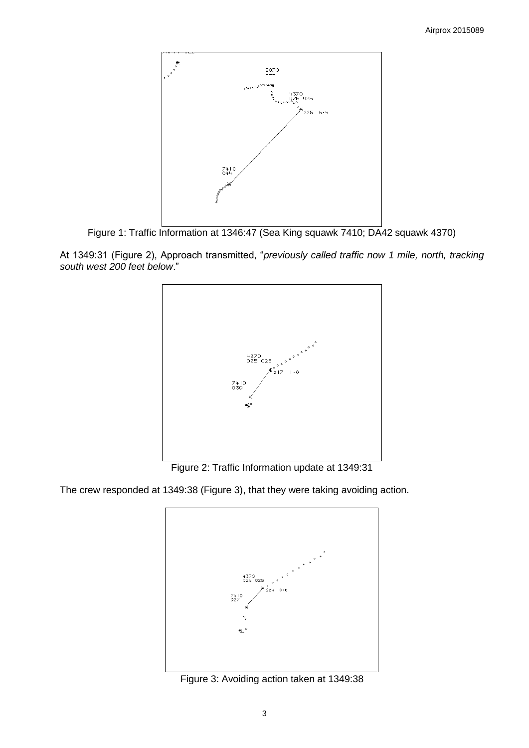

Figure 1: Traffic Information at 1346:47 (Sea King squawk 7410; DA42 squawk 4370)

At 1349:31 (Figure 2), Approach transmitted, "*previously called traffic now 1 mile, north, tracking south west 200 feet below*."



Figure 2: Traffic Information update at 1349:31

The crew responded at 1349:38 (Figure 3), that they were taking avoiding action.



Figure 3: Avoiding action taken at 1349:38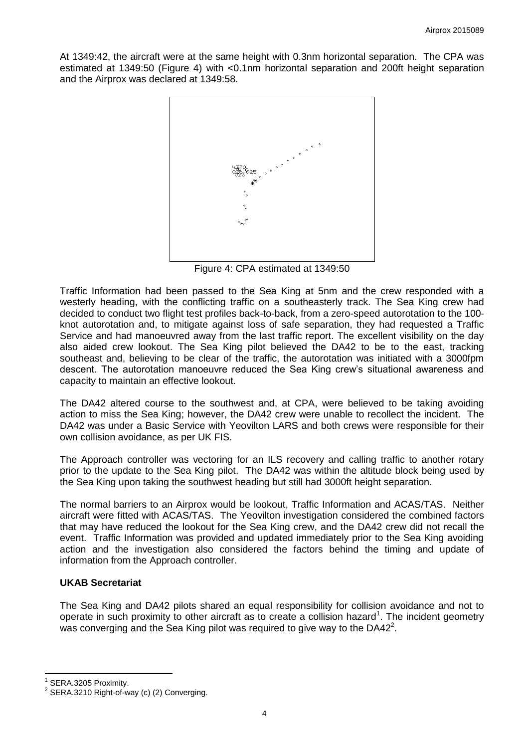At 1349:42, the aircraft were at the same height with 0.3nm horizontal separation. The CPA was estimated at 1349:50 (Figure 4) with <0.1nm horizontal separation and 200ft height separation and the Airprox was declared at 1349:58.



Figure 4: CPA estimated at 1349:50

Traffic Information had been passed to the Sea King at 5nm and the crew responded with a westerly heading, with the conflicting traffic on a southeasterly track. The Sea King crew had decided to conduct two flight test profiles back-to-back, from a zero-speed autorotation to the 100 knot autorotation and, to mitigate against loss of safe separation, they had requested a Traffic Service and had manoeuvred away from the last traffic report. The excellent visibility on the day also aided crew lookout. The Sea King pilot believed the DA42 to be to the east, tracking southeast and, believing to be clear of the traffic, the autorotation was initiated with a 3000fpm descent. The autorotation manoeuvre reduced the Sea King crew's situational awareness and capacity to maintain an effective lookout.

The DA42 altered course to the southwest and, at CPA, were believed to be taking avoiding action to miss the Sea King; however, the DA42 crew were unable to recollect the incident. The DA42 was under a Basic Service with Yeovilton LARS and both crews were responsible for their own collision avoidance, as per UK FIS.

The Approach controller was vectoring for an ILS recovery and calling traffic to another rotary prior to the update to the Sea King pilot. The DA42 was within the altitude block being used by the Sea King upon taking the southwest heading but still had 3000ft height separation.

The normal barriers to an Airprox would be lookout, Traffic Information and ACAS/TAS. Neither aircraft were fitted with ACAS/TAS. The Yeovilton investigation considered the combined factors that may have reduced the lookout for the Sea King crew, and the DA42 crew did not recall the event. Traffic Information was provided and updated immediately prior to the Sea King avoiding action and the investigation also considered the factors behind the timing and update of information from the Approach controller.

# **UKAB Secretariat**

The Sea King and DA42 pilots shared an equal responsibility for collision avoidance and not to operate in such proximity to other aircraft as to create a collision hazard<sup>1</sup>. The incident geometry was converging and the Sea King pilot was required to give way to the DA42<sup>2</sup>.

 $\overline{\phantom{a}}$ 

<sup>1</sup> SERA.3205 Proximity.

<sup>2</sup> SERA.3210 Right-of-way (c) (2) Converging.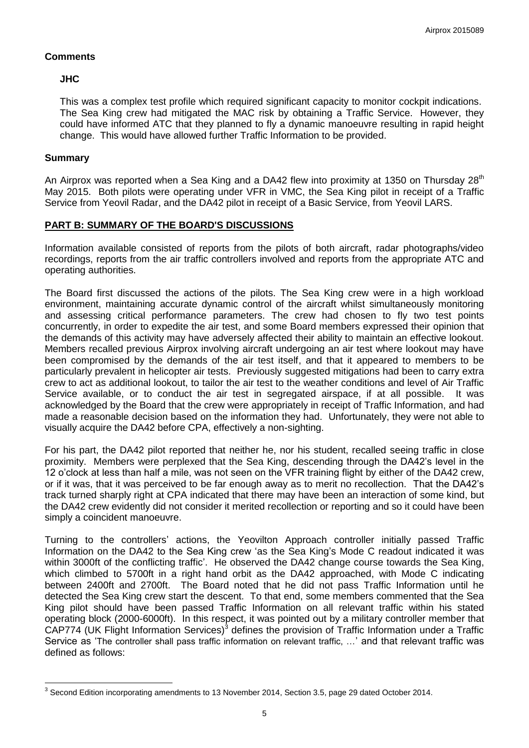# **Comments**

# **JHC**

This was a complex test profile which required significant capacity to monitor cockpit indications. The Sea King crew had mitigated the MAC risk by obtaining a Traffic Service. However, they could have informed ATC that they planned to fly a dynamic manoeuvre resulting in rapid height change. This would have allowed further Traffic Information to be provided.

# **Summary**

An Airprox was reported when a Sea King and a DA42 flew into proximity at 1350 on Thursday 28<sup>th</sup> May 2015. Both pilots were operating under VFR in VMC, the Sea King pilot in receipt of a Traffic Service from Yeovil Radar, and the DA42 pilot in receipt of a Basic Service, from Yeovil LARS.

# **PART B: SUMMARY OF THE BOARD'S DISCUSSIONS**

Information available consisted of reports from the pilots of both aircraft, radar photographs/video recordings, reports from the air traffic controllers involved and reports from the appropriate ATC and operating authorities.

The Board first discussed the actions of the pilots. The Sea King crew were in a high workload environment, maintaining accurate dynamic control of the aircraft whilst simultaneously monitoring and assessing critical performance parameters. The crew had chosen to fly two test points concurrently, in order to expedite the air test, and some Board members expressed their opinion that the demands of this activity may have adversely affected their ability to maintain an effective lookout. Members recalled previous Airprox involving aircraft undergoing an air test where lookout may have been compromised by the demands of the air test itself, and that it appeared to members to be particularly prevalent in helicopter air tests. Previously suggested mitigations had been to carry extra crew to act as additional lookout, to tailor the air test to the weather conditions and level of Air Traffic Service available, or to conduct the air test in segregated airspace, if at all possible. It was acknowledged by the Board that the crew were appropriately in receipt of Traffic Information, and had made a reasonable decision based on the information they had. Unfortunately, they were not able to visually acquire the DA42 before CPA, effectively a non-sighting.

For his part, the DA42 pilot reported that neither he, nor his student, recalled seeing traffic in close proximity. Members were perplexed that the Sea King, descending through the DA42's level in the 12 o'clock at less than half a mile, was not seen on the VFR training flight by either of the DA42 crew, or if it was, that it was perceived to be far enough away as to merit no recollection. That the DA42's track turned sharply right at CPA indicated that there may have been an interaction of some kind, but the DA42 crew evidently did not consider it merited recollection or reporting and so it could have been simply a coincident manoeuvre.

Turning to the controllers' actions, the Yeovilton Approach controller initially passed Traffic Information on the DA42 to the Sea King crew 'as the Sea King's Mode C readout indicated it was within 3000ft of the conflicting traffic'. He observed the DA42 change course towards the Sea King, which climbed to 5700ft in a right hand orbit as the DA42 approached, with Mode C indicating between 2400ft and 2700ft. The Board noted that he did not pass Traffic Information until he detected the Sea King crew start the descent. To that end, some members commented that the Sea King pilot should have been passed Traffic Information on all relevant traffic within his stated operating block (2000-6000ft). In this respect, it was pointed out by a military controller member that  $C$ AP774 (UK Flight Information Services)<sup>3</sup> defines the provision of Traffic Information under a Traffic Service as 'The controller shall pass traffic information on relevant traffic, …' and that relevant traffic was defined as follows:

 $\overline{a}$  $^3$  Second Edition incorporating amendments to 13 November 2014, Section 3.5, page 29 dated October 2014.